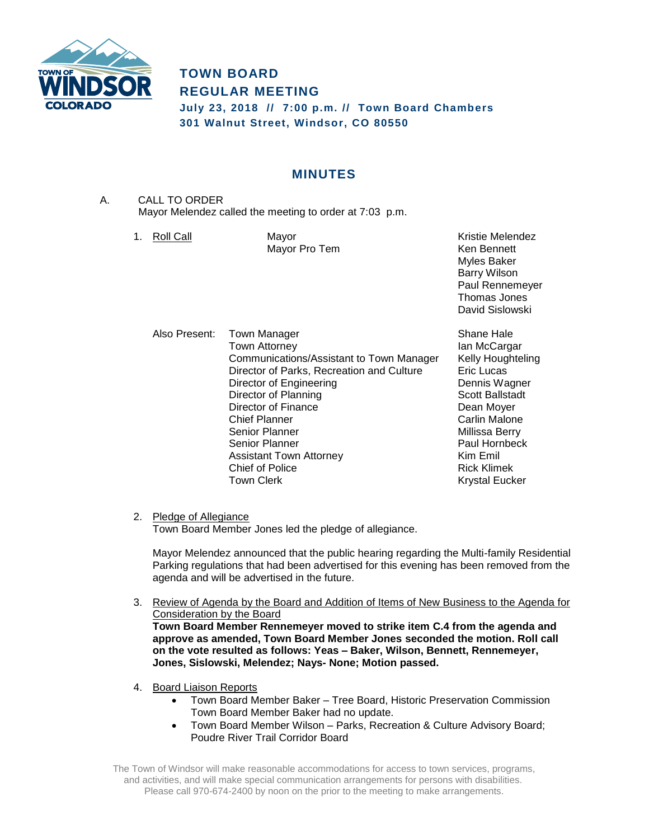

# **TOWN BOARD REGULAR MEETING July 23, 2018 // 7:00 p.m. // Town Board Chambers 301 Walnut Street, Windsor, CO 80550**

# **MINUTES**

A. CALL TO ORDER Mayor Melendez called the meeting to order at 7:03 p.m.

| 1. | Roll Call     | Mayor<br>Mayor Pro Tem                                                                                                                                                                                                                                                                         | Kristie Melendez<br>Ken Bennett<br><b>Myles Baker</b><br><b>Barry Wilson</b><br>Paul Rennemeyer<br>Thomas Jones<br>David Sislowski                                              |
|----|---------------|------------------------------------------------------------------------------------------------------------------------------------------------------------------------------------------------------------------------------------------------------------------------------------------------|---------------------------------------------------------------------------------------------------------------------------------------------------------------------------------|
|    | Also Present: | Town Manager<br><b>Town Attorney</b><br>Communications/Assistant to Town Manager<br>Director of Parks, Recreation and Culture<br>Director of Engineering<br>Director of Planning<br>Director of Finance<br>Chief Planner<br>Senior Planner<br>Senior Planner<br><b>Assistant Town Attornev</b> | Shane Hale<br>lan McCargar<br>Kelly Houghteling<br>Eric Lucas<br>Dennis Wagner<br>Scott Ballstadt<br>Dean Moyer<br>Carlin Malone<br>Millissa Berry<br>Paul Hornbeck<br>Kim Emil |

2. Pledge of Allegiance

Town Board Member Jones led the pledge of allegiance.

Mayor Melendez announced that the public hearing regarding the Multi-family Residential Parking regulations that had been advertised for this evening has been removed from the agenda and will be advertised in the future.

Chief of Police **Rick Klimek** Town Clerk **Krystal Eucker** 

- 3. Review of Agenda by the Board and Addition of Items of New Business to the Agenda for Consideration by the Board **Town Board Member Rennemeyer moved to strike item C.4 from the agenda and approve as amended, Town Board Member Jones seconded the motion. Roll call on the vote resulted as follows: Yeas – Baker, Wilson, Bennett, Rennemeyer, Jones, Sislowski, Melendez; Nays- None; Motion passed.**
- 4. Board Liaison Reports
	- Town Board Member Baker Tree Board, Historic Preservation Commission Town Board Member Baker had no update.
	- Town Board Member Wilson Parks, Recreation & Culture Advisory Board; Poudre River Trail Corridor Board

The Town of Windsor will make reasonable accommodations for access to town services, programs, and activities, and will make special communication arrangements for persons with disabilities. Please call 970-674-2400 by noon on the prior to the meeting to make arrangements.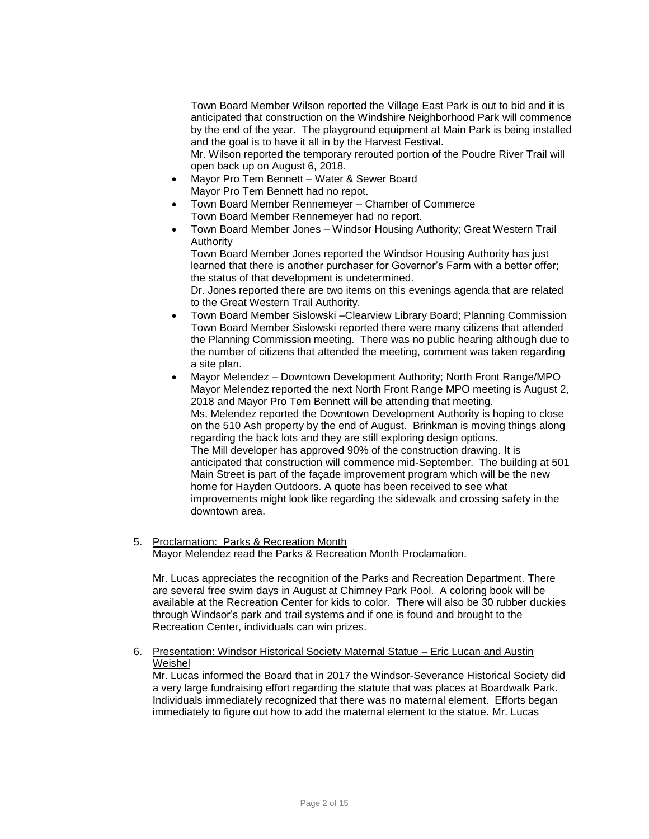Town Board Member Wilson reported the Village East Park is out to bid and it is anticipated that construction on the Windshire Neighborhood Park will commence by the end of the year. The playground equipment at Main Park is being installed and the goal is to have it all in by the Harvest Festival.

Mr. Wilson reported the temporary rerouted portion of the Poudre River Trail will open back up on August 6, 2018.

- Mayor Pro Tem Bennett Water & Sewer Board Mayor Pro Tem Bennett had no repot.
- Town Board Member Rennemeyer Chamber of Commerce Town Board Member Rennemeyer had no report.
- Town Board Member Jones Windsor Housing Authority; Great Western Trail Authority

Town Board Member Jones reported the Windsor Housing Authority has just learned that there is another purchaser for Governor's Farm with a better offer; the status of that development is undetermined.

Dr. Jones reported there are two items on this evenings agenda that are related to the Great Western Trail Authority.

- Town Board Member Sislowski –Clearview Library Board; Planning Commission Town Board Member Sislowski reported there were many citizens that attended the Planning Commission meeting. There was no public hearing although due to the number of citizens that attended the meeting, comment was taken regarding a site plan.
- Mayor Melendez Downtown Development Authority; North Front Range/MPO Mayor Melendez reported the next North Front Range MPO meeting is August 2, 2018 and Mayor Pro Tem Bennett will be attending that meeting. Ms. Melendez reported the Downtown Development Authority is hoping to close on the 510 Ash property by the end of August. Brinkman is moving things along regarding the back lots and they are still exploring design options. The Mill developer has approved 90% of the construction drawing. It is anticipated that construction will commence mid-September. The building at 501 Main Street is part of the façade improvement program which will be the new home for Hayden Outdoors. A quote has been received to see what improvements might look like regarding the sidewalk and crossing safety in the downtown area.

#### 5. Proclamation: Parks & Recreation Month Mayor Melendez read the Parks & Recreation Month Proclamation.

Mr. Lucas appreciates the recognition of the Parks and Recreation Department. There are several free swim days in August at Chimney Park Pool. A coloring book will be available at the Recreation Center for kids to color. There will also be 30 rubber duckies through Windsor's park and trail systems and if one is found and brought to the Recreation Center, individuals can win prizes.

6. Presentation: Windsor Historical Society Maternal Statue – Eric Lucan and Austin Weishel

Mr. Lucas informed the Board that in 2017 the Windsor-Severance Historical Society did a very large fundraising effort regarding the statute that was places at Boardwalk Park. Individuals immediately recognized that there was no maternal element. Efforts began immediately to figure out how to add the maternal element to the statue. Mr. Lucas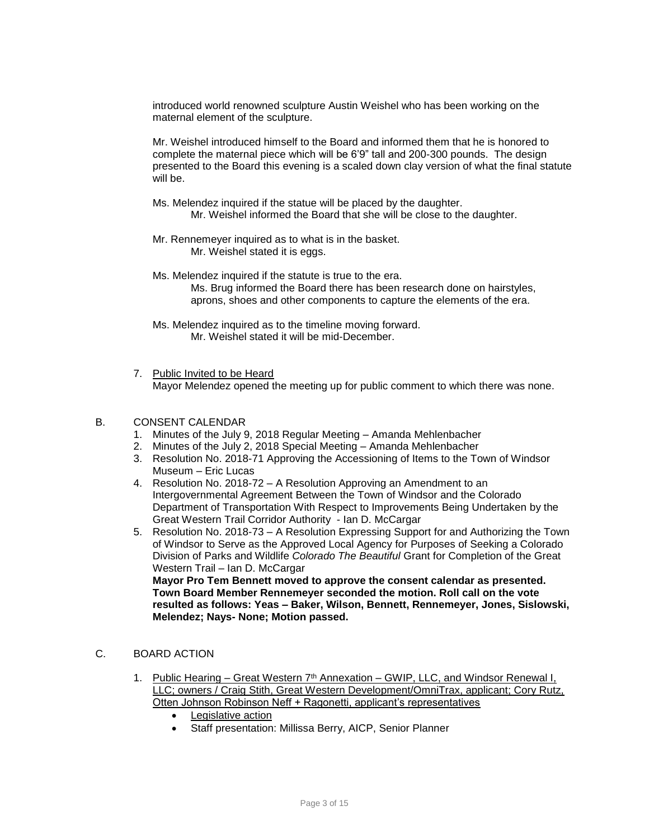introduced world renowned sculpture Austin Weishel who has been working on the maternal element of the sculpture.

Mr. Weishel introduced himself to the Board and informed them that he is honored to complete the maternal piece which will be 6'9" tall and 200-300 pounds. The design presented to the Board this evening is a scaled down clay version of what the final statute will be.

- Ms. Melendez inquired if the statue will be placed by the daughter. Mr. Weishel informed the Board that she will be close to the daughter.
	-
- Mr. Rennemeyer inquired as to what is in the basket. Mr. Weishel stated it is eggs.
- Ms. Melendez inquired if the statute is true to the era. Ms. Brug informed the Board there has been research done on hairstyles, aprons, shoes and other components to capture the elements of the era.
- Ms. Melendez inquired as to the timeline moving forward. Mr. Weishel stated it will be mid-December.
- 7. Public Invited to be Heard Mayor Melendez opened the meeting up for public comment to which there was none.

### B. CONSENT CALENDAR

- 1. Minutes of the July 9, 2018 Regular Meeting Amanda Mehlenbacher
- 2. Minutes of the July 2, 2018 Special Meeting Amanda Mehlenbacher
- 3. Resolution No. 2018-71 Approving the Accessioning of Items to the Town of Windsor Museum – Eric Lucas
- 4. Resolution No. 2018-72 A Resolution Approving an Amendment to an Intergovernmental Agreement Between the Town of Windsor and the Colorado Department of Transportation With Respect to Improvements Being Undertaken by the Great Western Trail Corridor Authority - Ian D. McCargar
- 5. Resolution No. 2018-73 A Resolution Expressing Support for and Authorizing the Town of Windsor to Serve as the Approved Local Agency for Purposes of Seeking a Colorado Division of Parks and Wildlife *Colorado The Beautiful* Grant for Completion of the Great Western Trail – Ian D. McCargar **Mayor Pro Tem Bennett moved to approve the consent calendar as presented.**

**Town Board Member Rennemeyer seconded the motion. Roll call on the vote resulted as follows: Yeas – Baker, Wilson, Bennett, Rennemeyer, Jones, Sislowski, Melendez; Nays- None; Motion passed.**

## C. BOARD ACTION

- 1. Public Hearing Great Western 7<sup>th</sup> Annexation GWIP, LLC, and Windsor Renewal I, LLC; owners / Craig Stith, Great Western Development/OmniTrax, applicant; Cory Rutz, Otten Johnson Robinson Neff + Ragonetti, applicant's representatives
	- Legislative action
	- Staff presentation: Millissa Berry, AICP, Senior Planner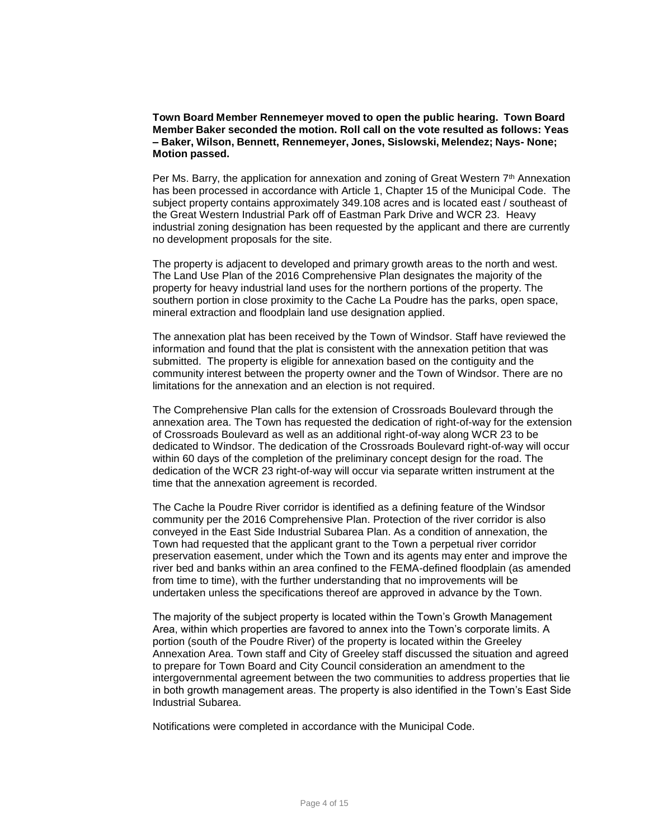#### **Town Board Member Rennemeyer moved to open the public hearing. Town Board Member Baker seconded the motion. Roll call on the vote resulted as follows: Yeas – Baker, Wilson, Bennett, Rennemeyer, Jones, Sislowski, Melendez; Nays- None; Motion passed.**

Per Ms. Barry, the application for annexation and zoning of Great Western 7<sup>th</sup> Annexation has been processed in accordance with Article 1, Chapter 15 of the Municipal Code. The subject property contains approximately 349.108 acres and is located east / southeast of the Great Western Industrial Park off of Eastman Park Drive and WCR 23. Heavy industrial zoning designation has been requested by the applicant and there are currently no development proposals for the site.

The property is adjacent to developed and primary growth areas to the north and west. The Land Use Plan of the 2016 Comprehensive Plan designates the majority of the property for heavy industrial land uses for the northern portions of the property. The southern portion in close proximity to the Cache La Poudre has the parks, open space, mineral extraction and floodplain land use designation applied.

The annexation plat has been received by the Town of Windsor. Staff have reviewed the information and found that the plat is consistent with the annexation petition that was submitted. The property is eligible for annexation based on the contiguity and the community interest between the property owner and the Town of Windsor. There are no limitations for the annexation and an election is not required.

The Comprehensive Plan calls for the extension of Crossroads Boulevard through the annexation area. The Town has requested the dedication of right-of-way for the extension of Crossroads Boulevard as well as an additional right-of-way along WCR 23 to be dedicated to Windsor. The dedication of the Crossroads Boulevard right-of-way will occur within 60 days of the completion of the preliminary concept design for the road. The dedication of the WCR 23 right-of-way will occur via separate written instrument at the time that the annexation agreement is recorded.

The Cache la Poudre River corridor is identified as a defining feature of the Windsor community per the 2016 Comprehensive Plan. Protection of the river corridor is also conveyed in the East Side Industrial Subarea Plan. As a condition of annexation, the Town had requested that the applicant grant to the Town a perpetual river corridor preservation easement, under which the Town and its agents may enter and improve the river bed and banks within an area confined to the FEMA-defined floodplain (as amended from time to time), with the further understanding that no improvements will be undertaken unless the specifications thereof are approved in advance by the Town.

The majority of the subject property is located within the Town's Growth Management Area, within which properties are favored to annex into the Town's corporate limits. A portion (south of the Poudre River) of the property is located within the Greeley Annexation Area. Town staff and City of Greeley staff discussed the situation and agreed to prepare for Town Board and City Council consideration an amendment to the intergovernmental agreement between the two communities to address properties that lie in both growth management areas. The property is also identified in the Town's East Side Industrial Subarea.

Notifications were completed in accordance with the Municipal Code.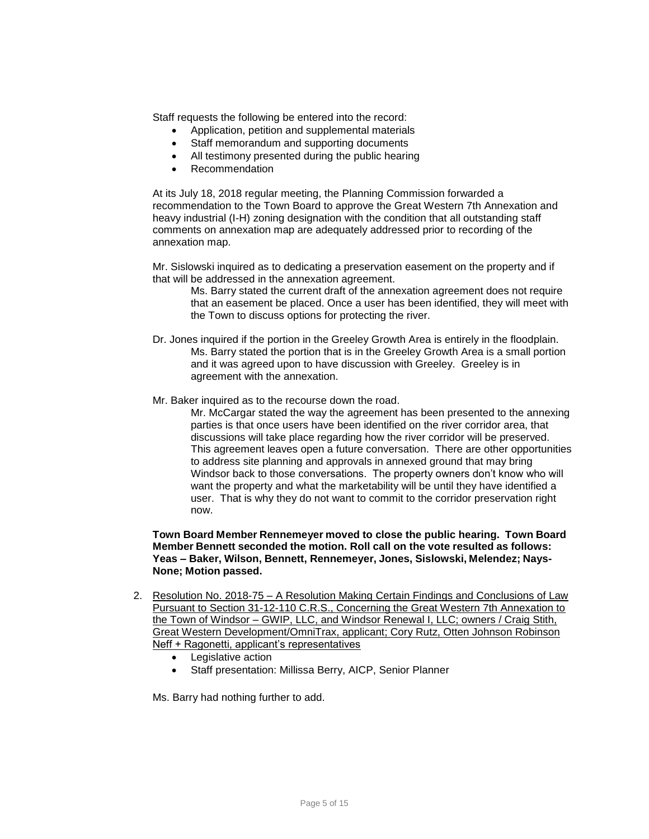Staff requests the following be entered into the record:

- Application, petition and supplemental materials
	- Staff memorandum and supporting documents
- All testimony presented during the public hearing
- Recommendation

At its July 18, 2018 regular meeting, the Planning Commission forwarded a recommendation to the Town Board to approve the Great Western 7th Annexation and heavy industrial (I-H) zoning designation with the condition that all outstanding staff comments on annexation map are adequately addressed prior to recording of the annexation map.

Mr. Sislowski inquired as to dedicating a preservation easement on the property and if that will be addressed in the annexation agreement.

Ms. Barry stated the current draft of the annexation agreement does not require that an easement be placed. Once a user has been identified, they will meet with the Town to discuss options for protecting the river.

- Dr. Jones inquired if the portion in the Greeley Growth Area is entirely in the floodplain. Ms. Barry stated the portion that is in the Greeley Growth Area is a small portion and it was agreed upon to have discussion with Greeley. Greeley is in agreement with the annexation.
- Mr. Baker inquired as to the recourse down the road.

Mr. McCargar stated the way the agreement has been presented to the annexing parties is that once users have been identified on the river corridor area, that discussions will take place regarding how the river corridor will be preserved. This agreement leaves open a future conversation. There are other opportunities to address site planning and approvals in annexed ground that may bring Windsor back to those conversations. The property owners don't know who will want the property and what the marketability will be until they have identified a user. That is why they do not want to commit to the corridor preservation right now.

**Town Board Member Rennemeyer moved to close the public hearing. Town Board Member Bennett seconded the motion. Roll call on the vote resulted as follows: Yeas – Baker, Wilson, Bennett, Rennemeyer, Jones, Sislowski, Melendez; Nays-None; Motion passed.**

- 2. Resolution No. 2018-75 A Resolution Making Certain Findings and Conclusions of Law Pursuant to Section 31-12-110 C.R.S., Concerning the Great Western 7th Annexation to the Town of Windsor – GWIP, LLC, and Windsor Renewal I, LLC; owners / Craig Stith, Great Western Development/OmniTrax, applicant; Cory Rutz, Otten Johnson Robinson Neff + Ragonetti, applicant's representatives
	- Legislative action
	- Staff presentation: Millissa Berry, AICP, Senior Planner

Ms. Barry had nothing further to add.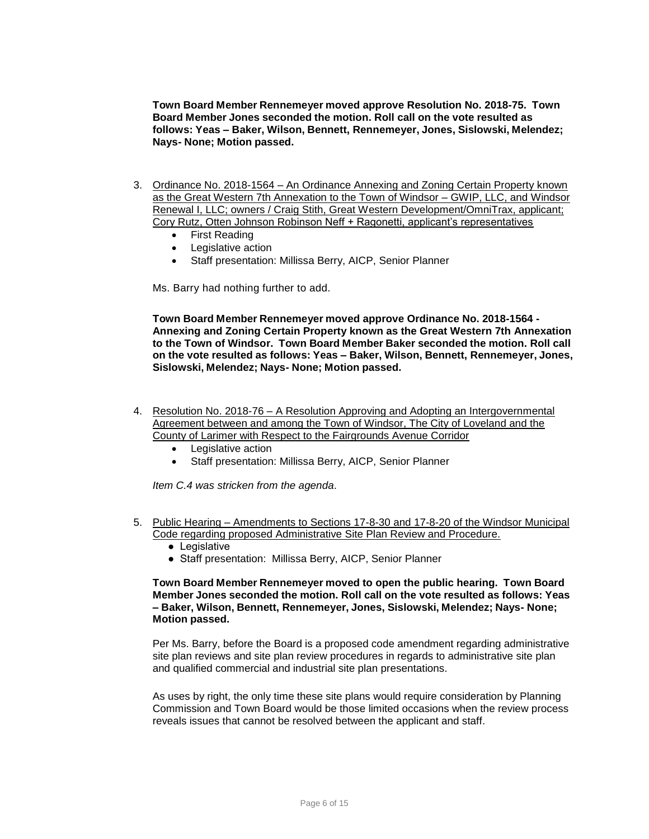**Town Board Member Rennemeyer moved approve Resolution No. 2018-75. Town Board Member Jones seconded the motion. Roll call on the vote resulted as follows: Yeas – Baker, Wilson, Bennett, Rennemeyer, Jones, Sislowski, Melendez; Nays- None; Motion passed.**

- 3. Ordinance No. 2018-1564 An Ordinance Annexing and Zoning Certain Property known as the Great Western 7th Annexation to the Town of Windsor – GWIP, LLC, and Windsor Renewal I, LLC; owners / Craig Stith, Great Western Development/OmniTrax, applicant; Cory Rutz, Otten Johnson Robinson Neff + Ragonetti, applicant's representatives
	- First Reading
	- Legislative action
	- Staff presentation: Millissa Berry, AICP, Senior Planner

Ms. Barry had nothing further to add.

**Town Board Member Rennemeyer moved approve Ordinance No. 2018-1564 - Annexing and Zoning Certain Property known as the Great Western 7th Annexation to the Town of Windsor. Town Board Member Baker seconded the motion. Roll call on the vote resulted as follows: Yeas – Baker, Wilson, Bennett, Rennemeyer, Jones, Sislowski, Melendez; Nays- None; Motion passed.**

- 4. Resolution No. 2018-76 A Resolution Approving and Adopting an Intergovernmental Agreement between and among the Town of Windsor, The City of Loveland and the County of Larimer with Respect to the Fairgrounds Avenue Corridor
	- Legislative action
	- Staff presentation: Millissa Berry, AICP, Senior Planner

*Item C.4 was stricken from the agenda*.

- 5. Public Hearing Amendments to Sections 17-8-30 and 17-8-20 of the Windsor Municipal Code regarding proposed Administrative Site Plan Review and Procedure.
	- Legislative
	- Staff presentation: Millissa Berry, AICP, Senior Planner

**Town Board Member Rennemeyer moved to open the public hearing. Town Board Member Jones seconded the motion. Roll call on the vote resulted as follows: Yeas – Baker, Wilson, Bennett, Rennemeyer, Jones, Sislowski, Melendez; Nays- None; Motion passed.**

Per Ms. Barry, before the Board is a proposed code amendment regarding administrative site plan reviews and site plan review procedures in regards to administrative site plan and qualified commercial and industrial site plan presentations.

As uses by right, the only time these site plans would require consideration by Planning Commission and Town Board would be those limited occasions when the review process reveals issues that cannot be resolved between the applicant and staff.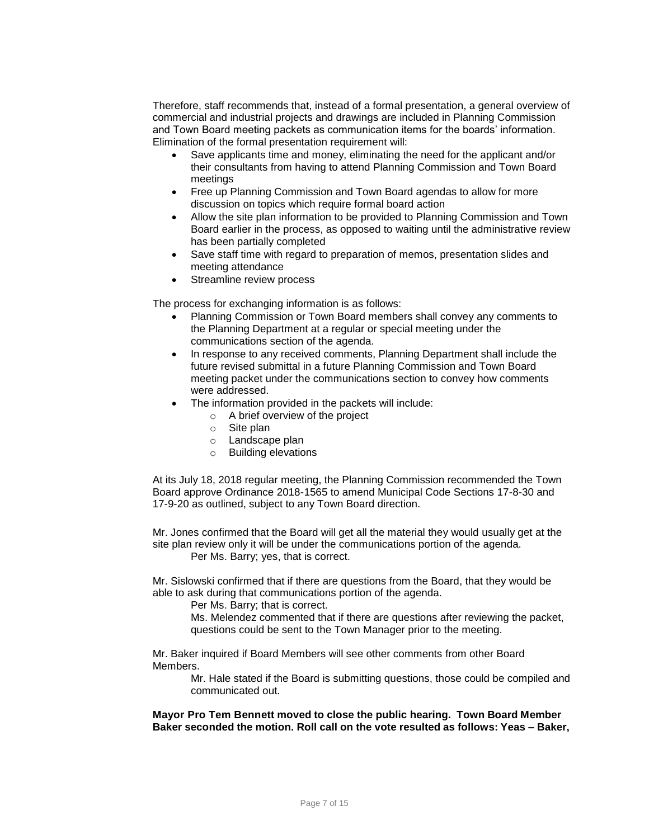Therefore, staff recommends that, instead of a formal presentation, a general overview of commercial and industrial projects and drawings are included in Planning Commission and Town Board meeting packets as communication items for the boards' information. Elimination of the formal presentation requirement will:

- Save applicants time and money, eliminating the need for the applicant and/or their consultants from having to attend Planning Commission and Town Board meetings
- Free up Planning Commission and Town Board agendas to allow for more discussion on topics which require formal board action
- Allow the site plan information to be provided to Planning Commission and Town Board earlier in the process, as opposed to waiting until the administrative review has been partially completed
- Save staff time with regard to preparation of memos, presentation slides and meeting attendance
- Streamline review process

The process for exchanging information is as follows:

- Planning Commission or Town Board members shall convey any comments to the Planning Department at a regular or special meeting under the communications section of the agenda.
- In response to any received comments, Planning Department shall include the future revised submittal in a future Planning Commission and Town Board meeting packet under the communications section to convey how comments were addressed.
- The information provided in the packets will include:
	- o A brief overview of the project
	- o Site plan
	- o Landscape plan
	- o Building elevations

At its July 18, 2018 regular meeting, the Planning Commission recommended the Town Board approve Ordinance 2018-1565 to amend Municipal Code Sections 17-8-30 and 17-9-20 as outlined, subject to any Town Board direction.

Mr. Jones confirmed that the Board will get all the material they would usually get at the site plan review only it will be under the communications portion of the agenda. Per Ms. Barry; yes, that is correct.

Mr. Sislowski confirmed that if there are questions from the Board, that they would be able to ask during that communications portion of the agenda.

Per Ms. Barry; that is correct.

Ms. Melendez commented that if there are questions after reviewing the packet, questions could be sent to the Town Manager prior to the meeting.

Mr. Baker inquired if Board Members will see other comments from other Board Members.

> Mr. Hale stated if the Board is submitting questions, those could be compiled and communicated out.

**Mayor Pro Tem Bennett moved to close the public hearing. Town Board Member Baker seconded the motion. Roll call on the vote resulted as follows: Yeas – Baker,**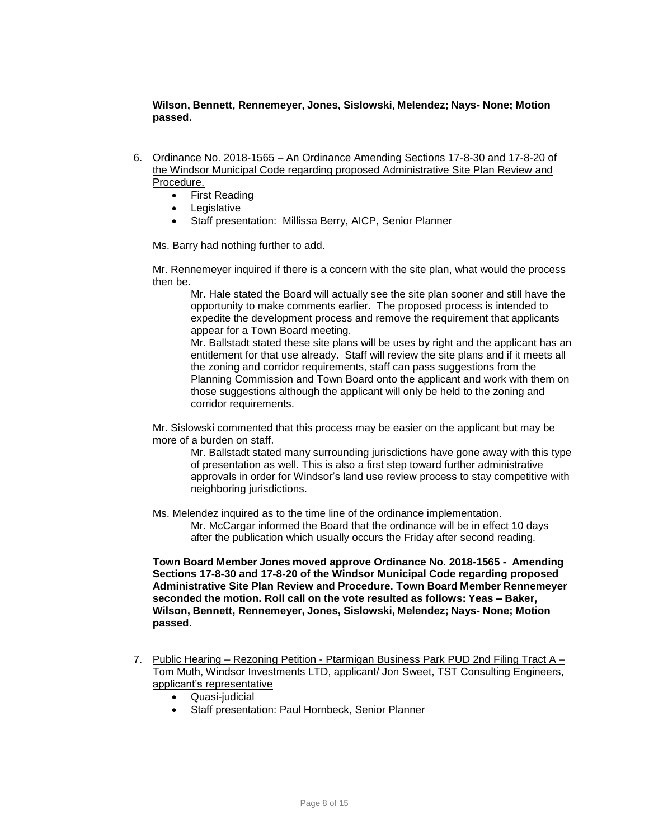**Wilson, Bennett, Rennemeyer, Jones, Sislowski, Melendez; Nays- None; Motion passed.**

- 6. Ordinance No. 2018-1565 An Ordinance Amending Sections 17-8-30 and 17-8-20 of the Windsor Municipal Code regarding proposed Administrative Site Plan Review and Procedure.
	- First Reading
	- Legislative
	- Staff presentation: Millissa Berry, AICP, Senior Planner

Ms. Barry had nothing further to add.

Mr. Rennemeyer inquired if there is a concern with the site plan, what would the process then be.

Mr. Hale stated the Board will actually see the site plan sooner and still have the opportunity to make comments earlier. The proposed process is intended to expedite the development process and remove the requirement that applicants appear for a Town Board meeting.

Mr. Ballstadt stated these site plans will be uses by right and the applicant has an entitlement for that use already. Staff will review the site plans and if it meets all the zoning and corridor requirements, staff can pass suggestions from the Planning Commission and Town Board onto the applicant and work with them on those suggestions although the applicant will only be held to the zoning and corridor requirements.

Mr. Sislowski commented that this process may be easier on the applicant but may be more of a burden on staff.

Mr. Ballstadt stated many surrounding jurisdictions have gone away with this type of presentation as well. This is also a first step toward further administrative approvals in order for Windsor's land use review process to stay competitive with neighboring jurisdictions.

Ms. Melendez inquired as to the time line of the ordinance implementation. Mr. McCargar informed the Board that the ordinance will be in effect 10 days after the publication which usually occurs the Friday after second reading.

**Town Board Member Jones moved approve Ordinance No. 2018-1565 - Amending Sections 17-8-30 and 17-8-20 of the Windsor Municipal Code regarding proposed Administrative Site Plan Review and Procedure. Town Board Member Rennemeyer seconded the motion. Roll call on the vote resulted as follows: Yeas – Baker, Wilson, Bennett, Rennemeyer, Jones, Sislowski, Melendez; Nays- None; Motion passed.**

- 7. Public Hearing Rezoning Petition Ptarmigan Business Park PUD 2nd Filing Tract A Tom Muth, Windsor Investments LTD, applicant/ Jon Sweet, TST Consulting Engineers, applicant's representative
	- Quasi-judicial
	- Staff presentation: Paul Hornbeck, Senior Planner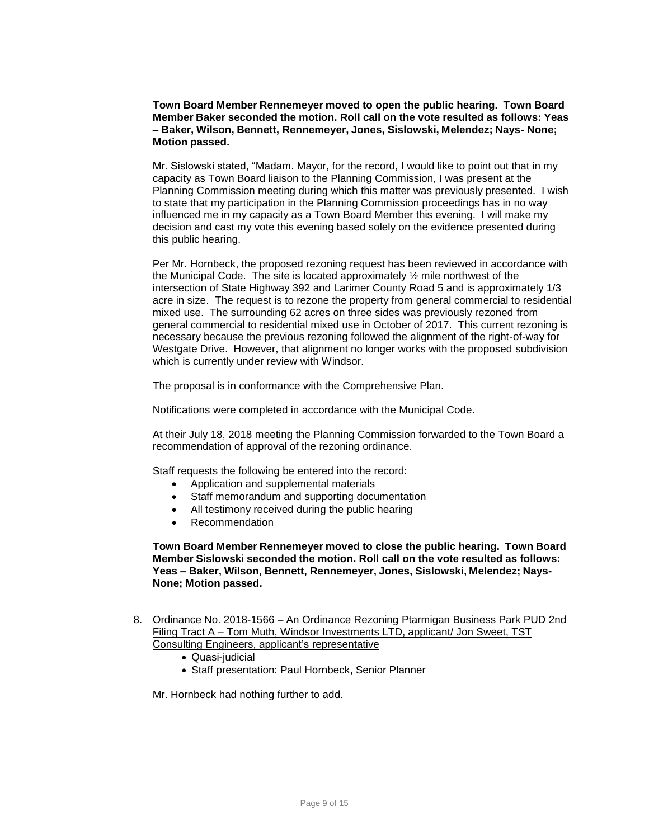#### **Town Board Member Rennemeyer moved to open the public hearing. Town Board Member Baker seconded the motion. Roll call on the vote resulted as follows: Yeas – Baker, Wilson, Bennett, Rennemeyer, Jones, Sislowski, Melendez; Nays- None; Motion passed.**

Mr. Sislowski stated, "Madam. Mayor, for the record, I would like to point out that in my capacity as Town Board liaison to the Planning Commission, I was present at the Planning Commission meeting during which this matter was previously presented. I wish to state that my participation in the Planning Commission proceedings has in no way influenced me in my capacity as a Town Board Member this evening. I will make my decision and cast my vote this evening based solely on the evidence presented during this public hearing.

Per Mr. Hornbeck, the proposed rezoning request has been reviewed in accordance with the Municipal Code. The site is located approximately ½ mile northwest of the intersection of State Highway 392 and Larimer County Road 5 and is approximately 1/3 acre in size. The request is to rezone the property from general commercial to residential mixed use. The surrounding 62 acres on three sides was previously rezoned from general commercial to residential mixed use in October of 2017. This current rezoning is necessary because the previous rezoning followed the alignment of the right-of-way for Westgate Drive. However, that alignment no longer works with the proposed subdivision which is currently under review with Windsor.

The proposal is in conformance with the Comprehensive Plan.

Notifications were completed in accordance with the Municipal Code.

At their July 18, 2018 meeting the Planning Commission forwarded to the Town Board a recommendation of approval of the rezoning ordinance.

Staff requests the following be entered into the record:

- Application and supplemental materials
- Staff memorandum and supporting documentation
- All testimony received during the public hearing
- Recommendation

**Town Board Member Rennemeyer moved to close the public hearing. Town Board Member Sislowski seconded the motion. Roll call on the vote resulted as follows: Yeas – Baker, Wilson, Bennett, Rennemeyer, Jones, Sislowski, Melendez; Nays-None; Motion passed.**

- 8. Ordinance No. 2018-1566 An Ordinance Rezoning Ptarmigan Business Park PUD 2nd Filing Tract A – Tom Muth, Windsor Investments LTD, applicant/ Jon Sweet, TST Consulting Engineers, applicant's representative
	- Quasi-judicial
	- Staff presentation: Paul Hornbeck, Senior Planner

Mr. Hornbeck had nothing further to add.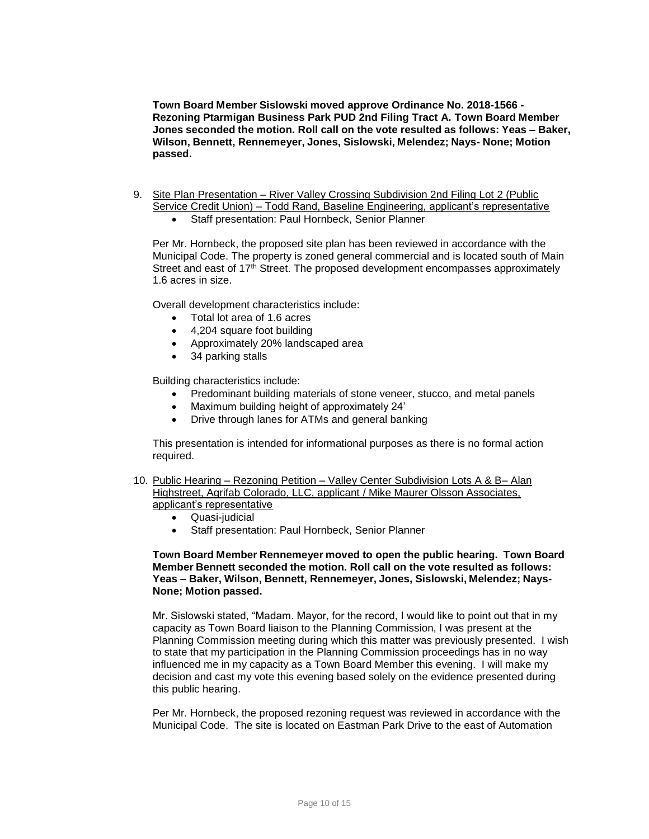**Town Board Member Sislowski moved approve Ordinance No. 2018-1566 - Rezoning Ptarmigan Business Park PUD 2nd Filing Tract A. Town Board Member Jones seconded the motion. Roll call on the vote resulted as follows: Yeas – Baker, Wilson, Bennett, Rennemeyer, Jones, Sislowski, Melendez; Nays- None; Motion passed.**

- 9. Site Plan Presentation River Valley Crossing Subdivision 2nd Filing Lot 2 (Public Service Credit Union) – Todd Rand, Baseline Engineering, applicant's representative
	- Staff presentation: Paul Hornbeck, Senior Planner

Per Mr. Hornbeck, the proposed site plan has been reviewed in accordance with the Municipal Code. The property is zoned general commercial and is located south of Main Street and east of 17<sup>th</sup> Street. The proposed development encompasses approximately 1.6 acres in size.

Overall development characteristics include:

- Total lot area of 1.6 acres
- 4,204 square foot building
- Approximately 20% landscaped area
- 34 parking stalls

Building characteristics include:

- Predominant building materials of stone veneer, stucco, and metal panels
- Maximum building height of approximately 24'
- Drive through lanes for ATMs and general banking

This presentation is intended for informational purposes as there is no formal action required.

- 10. Public Hearing Rezoning Petition Valley Center Subdivision Lots A & B– Alan Highstreet, Agrifab Colorado, LLC, applicant / Mike Maurer Olsson Associates, applicant's representative
	- Quasi-judicial
	- Staff presentation: Paul Hornbeck, Senior Planner

#### **Town Board Member Rennemeyer moved to open the public hearing. Town Board Member Bennett seconded the motion. Roll call on the vote resulted as follows: Yeas – Baker, Wilson, Bennett, Rennemeyer, Jones, Sislowski, Melendez; Nays-None; Motion passed.**

Mr. Sislowski stated, "Madam. Mayor, for the record, I would like to point out that in my capacity as Town Board liaison to the Planning Commission, I was present at the Planning Commission meeting during which this matter was previously presented. I wish to state that my participation in the Planning Commission proceedings has in no way influenced me in my capacity as a Town Board Member this evening. I will make my decision and cast my vote this evening based solely on the evidence presented during this public hearing.

Per Mr. Hornbeck, the proposed rezoning request was reviewed in accordance with the Municipal Code. The site is located on Eastman Park Drive to the east of Automation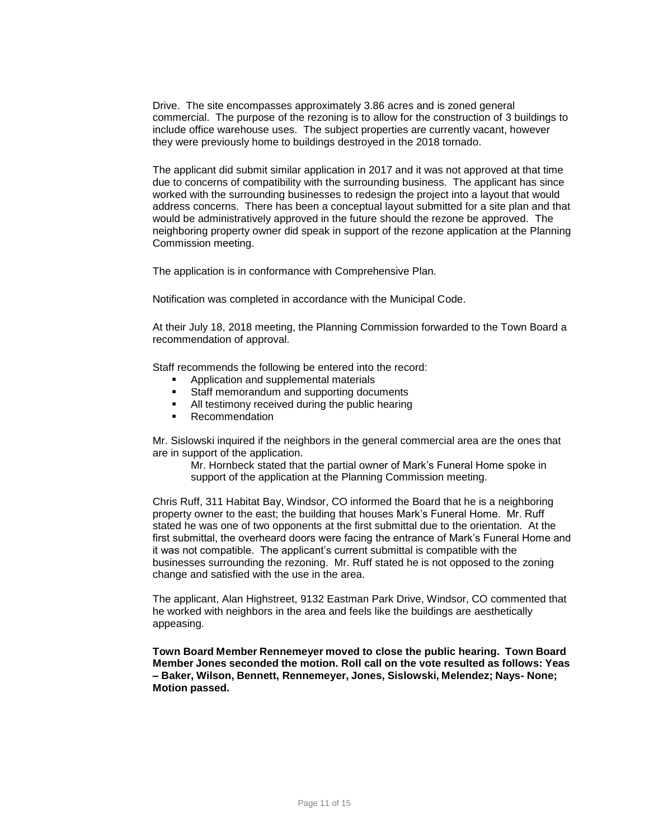Drive. The site encompasses approximately 3.86 acres and is zoned general commercial. The purpose of the rezoning is to allow for the construction of 3 buildings to include office warehouse uses. The subject properties are currently vacant, however they were previously home to buildings destroyed in the 2018 tornado.

The applicant did submit similar application in 2017 and it was not approved at that time due to concerns of compatibility with the surrounding business. The applicant has since worked with the surrounding businesses to redesign the project into a layout that would address concerns. There has been a conceptual layout submitted for a site plan and that would be administratively approved in the future should the rezone be approved. The neighboring property owner did speak in support of the rezone application at the Planning Commission meeting.

The application is in conformance with Comprehensive Plan.

Notification was completed in accordance with the Municipal Code.

At their July 18, 2018 meeting, the Planning Commission forwarded to the Town Board a recommendation of approval.

Staff recommends the following be entered into the record:

- **Application and supplemental materials**
- Staff memorandum and supporting documents
- All testimony received during the public hearing
- Recommendation

Mr. Sislowski inquired if the neighbors in the general commercial area are the ones that are in support of the application.

Mr. Hornbeck stated that the partial owner of Mark's Funeral Home spoke in support of the application at the Planning Commission meeting.

Chris Ruff, 311 Habitat Bay, Windsor, CO informed the Board that he is a neighboring property owner to the east; the building that houses Mark's Funeral Home. Mr. Ruff stated he was one of two opponents at the first submittal due to the orientation. At the first submittal, the overheard doors were facing the entrance of Mark's Funeral Home and it was not compatible. The applicant's current submittal is compatible with the businesses surrounding the rezoning. Mr. Ruff stated he is not opposed to the zoning change and satisfied with the use in the area.

The applicant, Alan Highstreet, 9132 Eastman Park Drive, Windsor, CO commented that he worked with neighbors in the area and feels like the buildings are aesthetically appeasing.

**Town Board Member Rennemeyer moved to close the public hearing. Town Board Member Jones seconded the motion. Roll call on the vote resulted as follows: Yeas – Baker, Wilson, Bennett, Rennemeyer, Jones, Sislowski, Melendez; Nays- None; Motion passed.**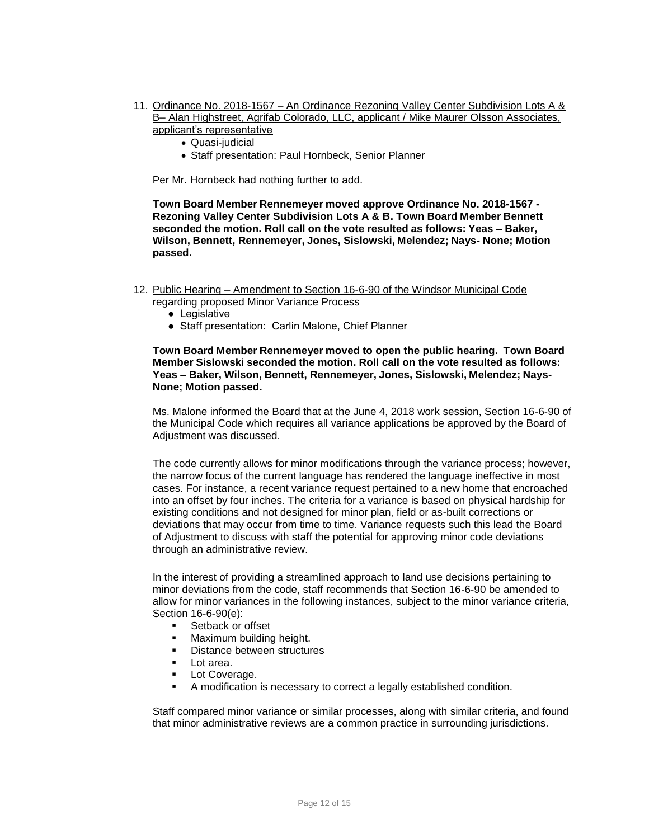- 11. Ordinance No. 2018-1567 An Ordinance Rezoning Valley Center Subdivision Lots A & B– Alan Highstreet, Agrifab Colorado, LLC, applicant / Mike Maurer Olsson Associates, applicant's representative
	- Quasi-judicial
	- Staff presentation: Paul Hornbeck, Senior Planner

Per Mr. Hornbeck had nothing further to add.

**Town Board Member Rennemeyer moved approve Ordinance No. 2018-1567 - Rezoning Valley Center Subdivision Lots A & B. Town Board Member Bennett seconded the motion. Roll call on the vote resulted as follows: Yeas – Baker, Wilson, Bennett, Rennemeyer, Jones, Sislowski, Melendez; Nays- None; Motion passed.**

- 12. Public Hearing Amendment to Section 16-6-90 of the Windsor Municipal Code regarding proposed Minor Variance Process
	- Legislative
	- Staff presentation: Carlin Malone, Chief Planner

#### **Town Board Member Rennemeyer moved to open the public hearing. Town Board Member Sislowski seconded the motion. Roll call on the vote resulted as follows: Yeas – Baker, Wilson, Bennett, Rennemeyer, Jones, Sislowski, Melendez; Nays-None; Motion passed.**

Ms. Malone informed the Board that at the June 4, 2018 work session, Section 16-6-90 of the Municipal Code which requires all variance applications be approved by the Board of Adjustment was discussed.

The code currently allows for minor modifications through the variance process; however, the narrow focus of the current language has rendered the language ineffective in most cases. For instance, a recent variance request pertained to a new home that encroached into an offset by four inches. The criteria for a variance is based on physical hardship for existing conditions and not designed for minor plan, field or as-built corrections or deviations that may occur from time to time. Variance requests such this lead the Board of Adjustment to discuss with staff the potential for approving minor code deviations through an administrative review.

In the interest of providing a streamlined approach to land use decisions pertaining to minor deviations from the code, staff recommends that Section 16-6-90 be amended to allow for minor variances in the following instances, subject to the minor variance criteria, Section 16-6-90(e):

- **Setback or offset**
- Maximum building height.
- Distance between structures
- **Lot area.**
- Lot Coverage.
- A modification is necessary to correct a legally established condition.

Staff compared minor variance or similar processes, along with similar criteria, and found that minor administrative reviews are a common practice in surrounding jurisdictions.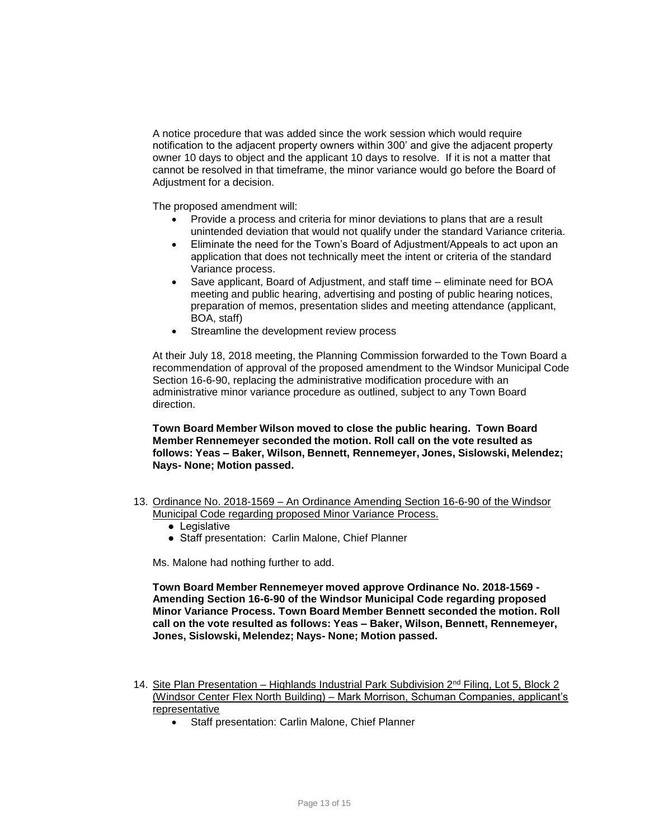A notice procedure that was added since the work session which would require notification to the adjacent property owners within 300' and give the adjacent property owner 10 days to object and the applicant 10 days to resolve. If it is not a matter that cannot be resolved in that timeframe, the minor variance would go before the Board of Adjustment for a decision.

The proposed amendment will:

- Provide a process and criteria for minor deviations to plans that are a result unintended deviation that would not qualify under the standard Variance criteria.
- Eliminate the need for the Town's Board of Adjustment/Appeals to act upon an application that does not technically meet the intent or criteria of the standard Variance process.
- Save applicant, Board of Adjustment, and staff time eliminate need for BOA meeting and public hearing, advertising and posting of public hearing notices, preparation of memos, presentation slides and meeting attendance (applicant, BOA, staff)
- Streamline the development review process

At their July 18, 2018 meeting, the Planning Commission forwarded to the Town Board a recommendation of approval of the proposed amendment to the Windsor Municipal Code Section 16-6-90, replacing the administrative modification procedure with an administrative minor variance procedure as outlined, subject to any Town Board direction.

#### **Town Board Member Wilson moved to close the public hearing. Town Board Member Rennemeyer seconded the motion. Roll call on the vote resulted as follows: Yeas – Baker, Wilson, Bennett, Rennemeyer, Jones, Sislowski, Melendez; Nays- None; Motion passed.**

- 13. Ordinance No. 2018-1569 An Ordinance Amending Section 16-6-90 of the Windsor Municipal Code regarding proposed Minor Variance Process.
	- Legislative
	- Staff presentation: Carlin Malone, Chief Planner

Ms. Malone had nothing further to add.

**Town Board Member Rennemeyer moved approve Ordinance No. 2018-1569 - Amending Section 16-6-90 of the Windsor Municipal Code regarding proposed Minor Variance Process. Town Board Member Bennett seconded the motion. Roll call on the vote resulted as follows: Yeas – Baker, Wilson, Bennett, Rennemeyer, Jones, Sislowski, Melendez; Nays- None; Motion passed.**

- 14. Site Plan Presentation Highlands Industrial Park Subdivision 2<sup>nd</sup> Filing, Lot 5, Block 2 (Windsor Center Flex North Building) – Mark Morrison, Schuman Companies, applicant's representative
	- Staff presentation: Carlin Malone, Chief Planner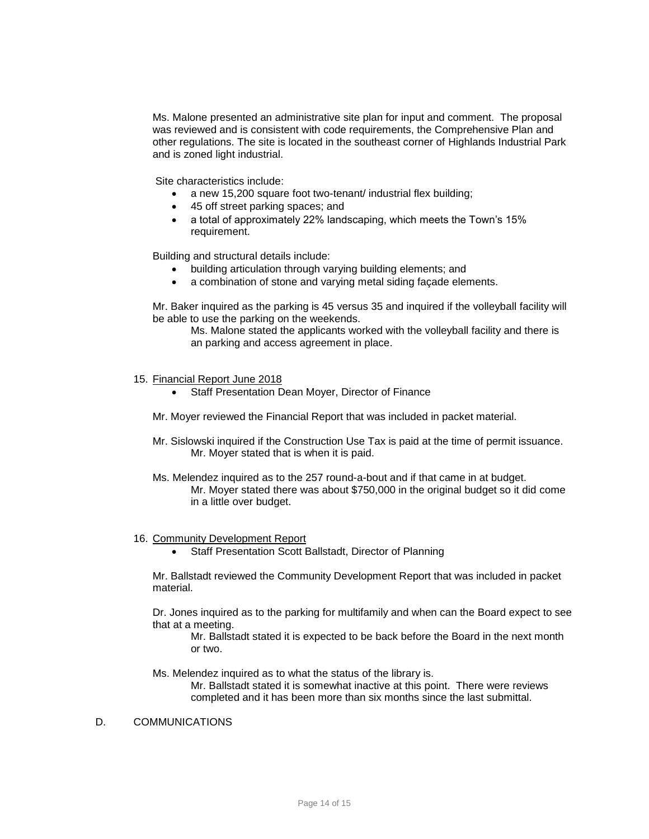Ms. Malone presented an administrative site plan for input and comment. The proposal was reviewed and is consistent with code requirements, the Comprehensive Plan and other regulations. The site is located in the southeast corner of Highlands Industrial Park and is zoned light industrial.

Site characteristics include:

- a new 15,200 square foot two-tenant/ industrial flex building;
- 45 off street parking spaces; and
- a total of approximately 22% landscaping, which meets the Town's 15% requirement.

Building and structural details include:

- building articulation through varying building elements; and
- a combination of stone and varying metal siding façade elements.

Mr. Baker inquired as the parking is 45 versus 35 and inquired if the volleyball facility will be able to use the parking on the weekends.

- Ms. Malone stated the applicants worked with the volleyball facility and there is an parking and access agreement in place.
- 15. Financial Report June 2018
	- Staff Presentation Dean Moyer, Director of Finance
	- Mr. Moyer reviewed the Financial Report that was included in packet material.
	- Mr. Sislowski inquired if the Construction Use Tax is paid at the time of permit issuance. Mr. Moyer stated that is when it is paid.
	- Ms. Melendez inquired as to the 257 round-a-bout and if that came in at budget. Mr. Moyer stated there was about \$750,000 in the original budget so it did come in a little over budget.
- 16. Community Development Report
	- Staff Presentation Scott Ballstadt, Director of Planning

Mr. Ballstadt reviewed the Community Development Report that was included in packet material.

Dr. Jones inquired as to the parking for multifamily and when can the Board expect to see that at a meeting.

Mr. Ballstadt stated it is expected to be back before the Board in the next month or two.

Ms. Melendez inquired as to what the status of the library is.

Mr. Ballstadt stated it is somewhat inactive at this point. There were reviews completed and it has been more than six months since the last submittal.

### D. COMMUNICATIONS